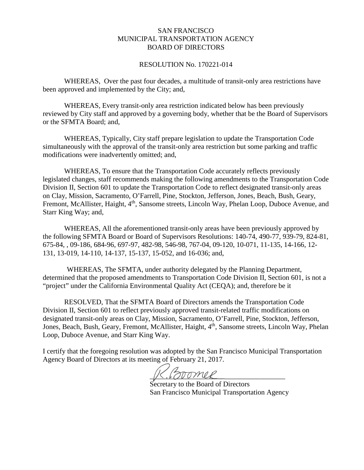### SAN FRANCISCO MUNICIPAL TRANSPORTATION AGENCY BOARD OF DIRECTORS

#### RESOLUTION No. 170221-014

WHEREAS, Over the past four decades, a multitude of transit-only area restrictions have been approved and implemented by the City; and,

WHEREAS, Every transit-only area restriction indicated below has been previously reviewed by City staff and approved by a governing body, whether that be the Board of Supervisors or the SFMTA Board; and,

WHEREAS, Typically, City staff prepare legislation to update the Transportation Code simultaneously with the approval of the transit-only area restriction but some parking and traffic modifications were inadvertently omitted; and,

WHEREAS, To ensure that the Transportation Code accurately reflects previously legislated changes, staff recommends making the following amendments to the Transportation Code Division II, Section 601 to update the Transportation Code to reflect designated transit-only areas on Clay, Mission, Sacramento, O'Farrell, Pine, Stockton, Jefferson, Jones, Beach, Bush, Geary, Fremont, McAllister, Haight, 4<sup>th</sup>, Sansome streets, Lincoln Way, Phelan Loop, Duboce Avenue, and Starr King Way; and,

WHEREAS, All the aforementioned transit-only areas have been previously approved by the following SFMTA Board or Board of Supervisors Resolutions: 140-74, 490-77, 939-79, 824-81, 675-84, , 09-186, 684-96, 697-97, 482-98, 546-98, 767-04, 09-120, 10-071, 11-135, 14-166, 12- 131, 13-019, 14-110, 14-137, 15-137, 15-052, and 16-036; and,

WHEREAS, The SFMTA, under authority delegated by the Planning Department, determined that the proposed amendments to Transportation Code Division II, Section 601, is not a "project" under the California Environmental Quality Act (CEQA); and, therefore be it

RESOLVED, That the SFMTA Board of Directors amends the Transportation Code Division II, Section 601 to reflect previously approved transit-related traffic modifications on designated transit-only areas on Clay, Mission, Sacramento, O'Farrell, Pine, Stockton, Jefferson, Jones, Beach, Bush, Geary, Fremont, McAllister, Haight, 4<sup>th</sup>, Sansome streets, Lincoln Way, Phelan Loop, Duboce Avenue, and Starr King Way.

I certify that the foregoing resolution was adopted by the San Francisco Municipal Transportation Agency Board of Directors at its meeting of February 21, 2017.

Boomee

 Secretary to the Board of Directors San Francisco Municipal Transportation Agency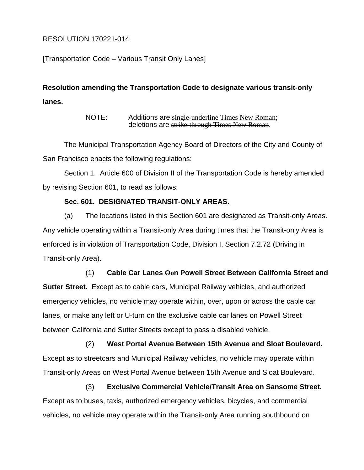## RESOLUTION 170221-014

[Transportation Code – Various Transit Only Lanes]

# **Resolution amending the Transportation Code to designate various transit-only lanes.**

NOTE: Additions are single-underline Times New Roman; deletions are <del>strike through Times New Roman</del>.

The Municipal Transportation Agency Board of Directors of the City and County of San Francisco enacts the following regulations:

Section 1. Article 600 of Division II of the Transportation Code is hereby amended by revising Section 601, to read as follows:

## **Sec. 601. DESIGNATED TRANSIT-ONLY AREAS.**

(a) The locations listed in this Section 601 are designated as Transit-only Areas. Any vehicle operating within a Transit-only Area during times that the Transit-only Area is enforced is in violation of Transportation Code, Division I, Section 7.2.72 (Driving in Transit-only Area).

### (1) **Cable Car Lanes Oon Powell Street Between California Street and**

**Sutter Street.** Except as to cable cars, Municipal Railway vehicles, and authorized emergency vehicles, no vehicle may operate within, over, upon or across the cable car lanes, or make any left or U-turn on the exclusive cable car lanes on Powell Street between California and Sutter Streets except to pass a disabled vehicle.

(2) **West Portal Avenue Between 15th Avenue and Sloat Boulevard.** Except as to streetcars and Municipal Railway vehicles, no vehicle may operate within Transit-only Areas on West Portal Avenue between 15th Avenue and Sloat Boulevard.

(3) **Exclusive Commercial Vehicle/Transit Area on Sansome Street.** Except as to buses, taxis, authorized emergency vehicles, bicycles, and commercial vehicles, no vehicle may operate within the Transit-only Area running southbound on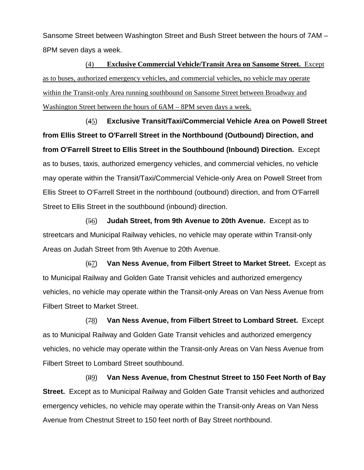Sansome Street between Washington Street and Bush Street between the hours of 7AM – 8PM seven days a week.

(4) **Exclusive Commercial Vehicle/Transit Area on Sansome Street.** Except as to buses, authorized emergency vehicles, and commercial vehicles, no vehicle may operate within the Transit-only Area running southbound on Sansome Street between Broadway and Washington Street between the hours of 6AM – 8PM seven days a week.

(45) **Exclusive Transit/Taxi/Commercial Vehicle Area on Powell Street from Ellis Street to O'Farrell Street in the Northbound (Outbound) Direction, and from O'Farrell Street to Ellis Street in the Southbound (Inbound) Direction.** Except as to buses, taxis, authorized emergency vehicles, and commercial vehicles, no vehicle may operate within the Transit/Taxi/Commercial Vehicle-only Area on Powell Street from Ellis Street to O'Farrell Street in the northbound (outbound) direction, and from O'Farrell Street to Ellis Street in the southbound (inbound) direction.

(56) **Judah Street, from 9th Avenue to 20th Avenue.** Except as to streetcars and Municipal Railway vehicles, no vehicle may operate within Transit-only Areas on Judah Street from 9th Avenue to 20th Avenue.

(67) **Van Ness Avenue, from Filbert Street to Market Street.** Except as to Municipal Railway and Golden Gate Transit vehicles and authorized emergency vehicles, no vehicle may operate within the Transit-only Areas on Van Ness Avenue from Filbert Street to Market Street.

(78) **Van Ness Avenue, from Filbert Street to Lombard Street.** Except as to Municipal Railway and Golden Gate Transit vehicles and authorized emergency vehicles, no vehicle may operate within the Transit-only Areas on Van Ness Avenue from Filbert Street to Lombard Street southbound.

(89) **Van Ness Avenue, from Chestnut Street to 150 Feet North of Bay Street.** Except as to Municipal Railway and Golden Gate Transit vehicles and authorized emergency vehicles, no vehicle may operate within the Transit-only Areas on Van Ness Avenue from Chestnut Street to 150 feet north of Bay Street northbound.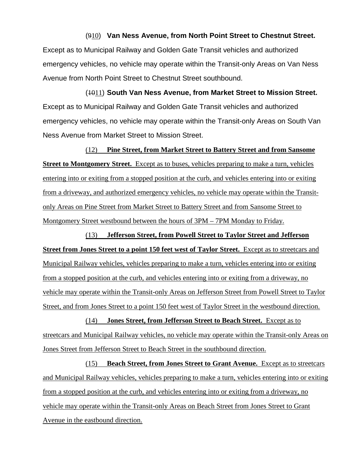# (910) **Van Ness Avenue, from North Point Street to Chestnut Street.** Except as to Municipal Railway and Golden Gate Transit vehicles and authorized emergency vehicles, no vehicle may operate within the Transit-only Areas on Van Ness Avenue from North Point Street to Chestnut Street southbound.

(1011) **South Van Ness Avenue, from Market Street to Mission Street.** Except as to Municipal Railway and Golden Gate Transit vehicles and authorized emergency vehicles, no vehicle may operate within the Transit-only Areas on South Van Ness Avenue from Market Street to Mission Street.

(12) **Pine Street, from Market Street to Battery Street and from Sansome Street to Montgomery Street.** Except as to buses, vehicles preparing to make a turn, vehicles entering into or exiting from a stopped position at the curb, and vehicles entering into or exiting from a driveway, and authorized emergency vehicles, no vehicle may operate within the Transitonly Areas on Pine Street from Market Street to Battery Street and from Sansome Street to Montgomery Street westbound between the hours of 3PM – 7PM Monday to Friday.

(13) **Jefferson Street, from Powell Street to Taylor Street and Jefferson Street from Jones Street to a point 150 feet west of Taylor Street.** Except as to streetcars and Municipal Railway vehicles, vehicles preparing to make a turn, vehicles entering into or exiting from a stopped position at the curb, and vehicles entering into or exiting from a driveway, no vehicle may operate within the Transit-only Areas on Jefferson Street from Powell Street to Taylor Street, and from Jones Street to a point 150 feet west of Taylor Street in the westbound direction.

(14) **Jones Street, from Jefferson Street to Beach Street.** Except as to streetcars and Municipal Railway vehicles, no vehicle may operate within the Transit-only Areas on Jones Street from Jefferson Street to Beach Street in the southbound direction.

(15) **Beach Street, from Jones Street to Grant Avenue.** Except as to streetcars and Municipal Railway vehicles, vehicles preparing to make a turn, vehicles entering into or exiting from a stopped position at the curb, and vehicles entering into or exiting from a driveway, no vehicle may operate within the Transit-only Areas on Beach Street from Jones Street to Grant Avenue in the eastbound direction.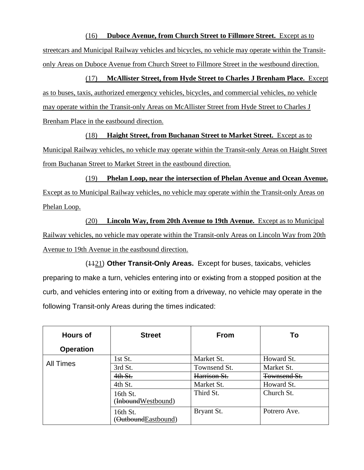(16) **Duboce Avenue, from Church Street to Fillmore Street.** Except as to streetcars and Municipal Railway vehicles and bicycles, no vehicle may operate within the Transitonly Areas on Duboce Avenue from Church Street to Fillmore Street in the westbound direction.

(17) **McAllister Street, from Hyde Street to Charles J Brenham Place.** Except as to buses, taxis, authorized emergency vehicles, bicycles, and commercial vehicles, no vehicle may operate within the Transit-only Areas on McAllister Street from Hyde Street to Charles J Brenham Place in the eastbound direction.

(18) **Haight Street, from Buchanan Street to Market Street.** Except as to Municipal Railway vehicles, no vehicle may operate within the Transit-only Areas on Haight Street from Buchanan Street to Market Street in the eastbound direction.

(19) **Phelan Loop, near the intersection of Phelan Avenue and Ocean Avenue.** Except as to Municipal Railway vehicles, no vehicle may operate within the Transit-only Areas on Phelan Loop.

(20) **Lincoln Way, from 20th Avenue to 19th Avenue.** Except as to Municipal Railway vehicles, no vehicle may operate within the Transit-only Areas on Lincoln Way from 20th Avenue to 19th Avenue in the eastbound direction.

(1121) **Other Transit-Only Areas.** Except for buses, taxicabs, vehicles preparing to make a turn, vehicles entering into or existing from a stopped position at the curb, and vehicles entering into or exiting from a driveway, no vehicle may operate in the following Transit-only Areas during the times indicated:

| <b>Hours of</b>  | <b>Street</b>                   | <b>From</b>  | To           |
|------------------|---------------------------------|--------------|--------------|
| <b>Operation</b> |                                 |              |              |
| All Times        | 1st St.                         | Market St.   | Howard St.   |
|                  | 3rd St.                         | Townsend St. | Market St.   |
|                  | 4th St.                         | Harrison St. | Townsend St. |
|                  | 4th St.                         | Market St.   | Howard St.   |
|                  | 16th St.<br>(InboundWestbound)  | Third St.    | Church St.   |
|                  | 16th St.<br>(OutboundEastbound) | Bryant St.   | Potrero Ave. |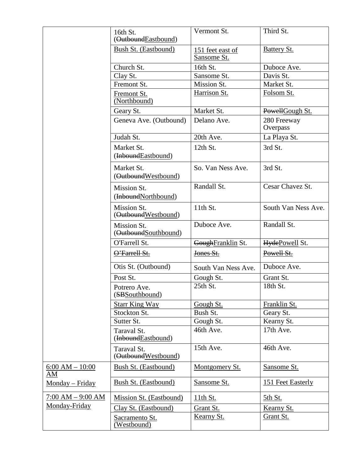|                         | 16th St.<br>(OutboundEastbound)     | Vermont St.                     | Third St.               |
|-------------------------|-------------------------------------|---------------------------------|-------------------------|
|                         | Bush St. (Eastbound)                | 151 feet east of<br>Sansome St. | <b>Battery St.</b>      |
|                         | Church St.                          | 16th St.                        | Duboce Ave.             |
|                         | Clay St.                            | Sansome St.                     | Davis St.               |
|                         | Fremont St.                         | Mission St.                     | Market St.              |
|                         | Fremont St.<br>(Northbound)         | Harrison St.                    | Folsom St.              |
|                         | Geary St.                           | Market St.                      | PowellGough St.         |
|                         | Geneva Ave. (Outbound)              | Delano Ave.                     | 280 Freeway<br>Overpass |
|                         | Judah St.                           | 20th Ave.                       | La Playa St.            |
|                         | Market St.<br>(InboundEastbound)    | 12th St.                        | 3rd St.                 |
|                         | Market St.<br>(OutboundWestbound)   | So. Van Ness Ave.               | 3rd St.                 |
|                         | Mission St.<br>(InboundNorthbound)  | Randall St.                     | Cesar Chavez St.        |
|                         | Mission St.<br>(OutboundWestbound)  | 11th St.                        | South Van Ness Ave.     |
|                         | Mission St.<br>(OutboundSouthbound) | Duboce Ave.                     | Randall St.             |
|                         | O'Farrell St.                       | GoughFranklin St.               | HydePowell St.          |
|                         | O'Farrell St.                       | Jones St.                       | Powell St.              |
|                         | Otis St. (Outbound)                 | South Van Ness Ave.             | Duboce Ave.             |
|                         | Post St.                            | Gough St.                       | Grant St.               |
|                         | Potrero Ave.<br>(SBS outhbound)     | 25th St.                        | 18th St.                |
|                         | <b>Starr King Way</b>               | Gough St.                       | Franklin St.            |
|                         | Stockton St.                        | Bush St.                        | Geary St.               |
|                         | Sutter St.                          | Gough St.                       | Kearny St.              |
|                         | Taraval St.<br>(InboundEastbound)   | 46th Ave.                       | 17th Ave.               |
|                         | Taraval St.<br>(OutboundWestbound)  | 15th Ave.                       | 46th Ave.               |
| $6:00 AM - 10:00$<br>AM | Bush St. (Eastbound)                | Montgomery St.                  | Sansome St.             |
| Monday - Friday         | Bush St. (Eastbound)                | Sansome St.                     | 151 Feet Easterly       |
| $7:00 AM - 9:00 AM$     | Mission St. (Eastbound)             | 11th St.                        | 5th St.                 |
| Monday-Friday           | Clay St. (Eastbound)                | Grant St.                       | Kearny St.              |
|                         | Sacramento St.<br>(Westbound)       | <b>Kearny St.</b>               | Grant St.               |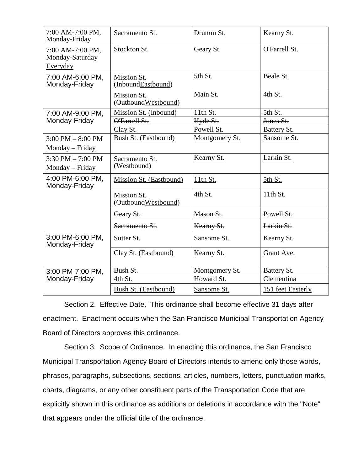| 7:00 AM-7:00 PM,<br>Monday-Friday                      | Sacramento St.                     | Drumm St.      | Kearny St.        |
|--------------------------------------------------------|------------------------------------|----------------|-------------------|
| 7:00 AM-7:00 PM,<br><b>Monday-Saturday</b><br>Everyday | Stockton St.                       | Geary St.      | O'Farrell St.     |
| 7:00 AM-6:00 PM,<br>Monday-Friday                      | Mission St.<br>(InboundEastbound)  | 5th St.        | Beale St.         |
|                                                        | Mission St.<br>(OutboundWestbound) | Main St.       | 4th St.           |
| 7:00 AM-9:00 PM,                                       | Mission St. (Inbound)              | $11th St.$     | 5th St.           |
| Monday-Friday                                          | O'Farrell St.                      | Hyde St.       | Jones St.         |
|                                                        | Clay St.                           | Powell St.     | Battery St.       |
| $3:00$ PM $-8:00$ PM<br>Monday – Friday                | Bush St. (Eastbound)               | Montgomery St. | Sansome St.       |
| $3:30$ PM $- 7:00$ PM<br>Monday - Friday               | Sacramento St.<br>(Westbound)      | Kearny St.     | Larkin St.        |
| 4:00 PM-6:00 PM,<br>Monday-Friday                      | Mission St. (Eastbound)            | 11th St.       | 5th St.           |
|                                                        | Mission St.<br>(OutboundWestbound) | 4th St.        | 11th St.          |
|                                                        | Geary St.                          | Mason St.      | Powell St.        |
|                                                        | Sacramento St.                     | Kearny St.     | Larkin St.        |
| 3:00 PM-6:00 PM,<br>Monday-Friday                      | Sutter St.                         | Sansome St.    | Kearny St.        |
|                                                        | Clay St. (Eastbound)               | Kearny St.     | Grant Ave.        |
| 3:00 PM-7:00 PM,                                       | Bush St.                           | Montgomery St. | Battery St.       |
| Monday-Friday                                          | 4th St.                            | Howard St.     | Clementina        |
|                                                        | Bush St. (Eastbound)               | Sansome St.    | 151 feet Easterly |

Section 2. Effective Date. This ordinance shall become effective 31 days after enactment. Enactment occurs when the San Francisco Municipal Transportation Agency Board of Directors approves this ordinance.

Section 3. Scope of Ordinance. In enacting this ordinance, the San Francisco Municipal Transportation Agency Board of Directors intends to amend only those words, phrases, paragraphs, subsections, sections, articles, numbers, letters, punctuation marks, charts, diagrams, or any other constituent parts of the Transportation Code that are explicitly shown in this ordinance as additions or deletions in accordance with the "Note" that appears under the official title of the ordinance.